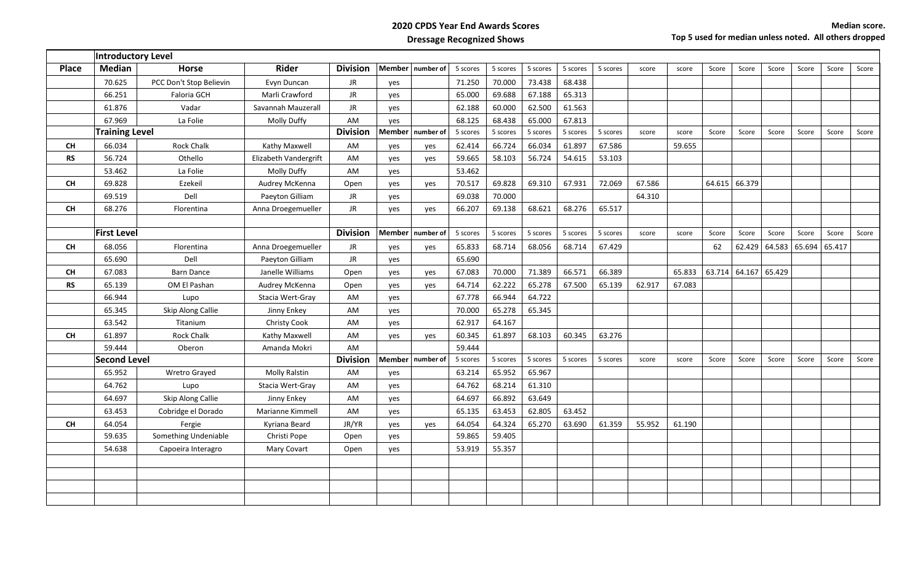|              |                       | <b>Introductory Level</b> |                       |                 |               |                    |          |          |          |          |          |        |        |        |               |               |        |        |       |
|--------------|-----------------------|---------------------------|-----------------------|-----------------|---------------|--------------------|----------|----------|----------|----------|----------|--------|--------|--------|---------------|---------------|--------|--------|-------|
| <b>Place</b> | <b>Median</b>         | Horse                     | Rider                 | <b>Division</b> |               | Member   number of | 5 scores | 5 scores | 5 scores | 5 scores | 5 scores | score  | score  | Score  | Score         | Score         | Score  | Score  | Score |
|              | 70.625                | PCC Don't Stop Believin   | Evyn Duncan           | <b>JR</b>       | yes           |                    | 71.250   | 70.000   | 73.438   | 68.438   |          |        |        |        |               |               |        |        |       |
|              | 66.251                | Faloria GCH               | Marli Crawford        | <b>JR</b>       | yes           |                    | 65.000   | 69.688   | 67.188   | 65.313   |          |        |        |        |               |               |        |        |       |
|              | 61.876                | Vadar                     | Savannah Mauzerall    | <b>JR</b>       | yes           |                    | 62.188   | 60.000   | 62.500   | 61.563   |          |        |        |        |               |               |        |        |       |
|              | 67.969                | La Folie                  | Molly Duffy           | AM              | yes           |                    | 68.125   | 68.438   | 65.000   | 67.813   |          |        |        |        |               |               |        |        |       |
|              | <b>Training Level</b> |                           |                       | <b>Division</b> | <b>Member</b> | number of          | 5 scores | 5 scores | 5 scores | 5 scores | 5 scores | score  | score  | Score  | Score         | Score         | Score  | Score  | Score |
| <b>CH</b>    | 66.034                | <b>Rock Chalk</b>         | Kathy Maxwell         | AM              | yes           | yes                | 62.414   | 66.724   | 66.034   | 61.897   | 67.586   |        | 59.655 |        |               |               |        |        |       |
| <b>RS</b>    | 56.724                | Othello                   | Elizabeth Vandergrift | <b>AM</b>       | yes           | yes                | 59.665   | 58.103   | 56.724   | 54.615   | 53.103   |        |        |        |               |               |        |        |       |
|              | 53.462                | La Folie                  | Molly Duffy           | AM              | yes           |                    | 53.462   |          |          |          |          |        |        |        |               |               |        |        |       |
| <b>CH</b>    | 69.828                | Ezekeil                   | Audrey McKenna        | Open            | yes           | yes                | 70.517   | 69.828   | 69.310   | 67.931   | 72.069   | 67.586 |        |        | 64.615 66.379 |               |        |        |       |
|              | 69.519                | Dell                      | Paeyton Gilliam       | JR              | yes           |                    | 69.038   | 70.000   |          |          |          | 64.310 |        |        |               |               |        |        |       |
| <b>CH</b>    | 68.276                | Florentina                | Anna Droegemueller    | JR.             | yes           | yes                | 66.207   | 69.138   | 68.621   | 68.276   | 65.517   |        |        |        |               |               |        |        |       |
|              |                       |                           |                       |                 |               |                    |          |          |          |          |          |        |        |        |               |               |        |        |       |
|              | <b>First Level</b>    |                           |                       | <b>Division</b> |               | Member   number of | 5 scores | 5 scores | 5 scores | 5 scores | 5 scores | score  | score  | Score  | Score         | Score         | Score  | Score  | Score |
| <b>CH</b>    | 68.056                | Florentina                | Anna Droegemueller    | <b>JR</b>       | yes           | yes                | 65.833   | 68.714   | 68.056   | 68.714   | 67.429   |        |        | 62     | 62.429        | 64.583        | 65.694 | 65.417 |       |
|              | 65.690                | Dell                      | Paeyton Gilliam       | $\mathsf{JR}$   | yes           |                    | 65.690   |          |          |          |          |        |        |        |               |               |        |        |       |
| <b>CH</b>    | 67.083                | <b>Barn Dance</b>         | Janelle Williams      | Open            | yes           | yes                | 67.083   | 70.000   | 71.389   | 66.571   | 66.389   |        | 65.833 | 63.714 |               | 64.167 65.429 |        |        |       |
| <b>RS</b>    | 65.139                | OM El Pashan              | Audrey McKenna        | Open            | yes           | yes                | 64.714   | 62.222   | 65.278   | 67.500   | 65.139   | 62.917 | 67.083 |        |               |               |        |        |       |
|              | 66.944                | Lupo                      | Stacia Wert-Gray      | AM              | yes           |                    | 67.778   | 66.944   | 64.722   |          |          |        |        |        |               |               |        |        |       |
|              | 65.345                | Skip Along Callie         | Jinny Enkey           | AM              | yes           |                    | 70.000   | 65.278   | 65.345   |          |          |        |        |        |               |               |        |        |       |
|              | 63.542                | Titanium                  | <b>Christy Cook</b>   | AM              | yes           |                    | 62.917   | 64.167   |          |          |          |        |        |        |               |               |        |        |       |
| <b>CH</b>    | 61.897                | <b>Rock Chalk</b>         | Kathy Maxwell         | AM              | yes           | yes                | 60.345   | 61.897   | 68.103   | 60.345   | 63.276   |        |        |        |               |               |        |        |       |
|              | 59.444                | Oberon                    | Amanda Mokri          | AM              |               |                    | 59.444   |          |          |          |          |        |        |        |               |               |        |        |       |
|              | <b>Second Level</b>   |                           |                       | <b>Division</b> |               | Member   number of | 5 scores | 5 scores | 5 scores | 5 scores | 5 scores | score  | score  | Score  | Score         | Score         | Score  | Score  | Score |
|              | 65.952                | Wretro Grayed             | <b>Molly Ralstin</b>  | AM              | yes           |                    | 63.214   | 65.952   | 65.967   |          |          |        |        |        |               |               |        |        |       |
|              | 64.762                | Lupo                      | Stacia Wert-Gray      | AM              | yes           |                    | 64.762   | 68.214   | 61.310   |          |          |        |        |        |               |               |        |        |       |
|              | 64.697                | Skip Along Callie         | Jinny Enkey           | AM              | yes           |                    | 64.697   | 66.892   | 63.649   |          |          |        |        |        |               |               |        |        |       |
|              | 63.453                | Cobridge el Dorado        | Marianne Kimmell      | AM              | yes           |                    | 65.135   | 63.453   | 62.805   | 63.452   |          |        |        |        |               |               |        |        |       |
| <b>CH</b>    | 64.054                | Fergie                    | Kyriana Beard         | JR/YR           | yes           | yes                | 64.054   | 64.324   | 65.270   | 63.690   | 61.359   | 55.952 | 61.190 |        |               |               |        |        |       |
|              | 59.635                | Something Undeniable      | Christi Pope          | Open            | yes           |                    | 59.865   | 59.405   |          |          |          |        |        |        |               |               |        |        |       |
|              | 54.638                | Capoeira Interagro        | Mary Covart           | Open            | yes           |                    | 53.919   | 55.357   |          |          |          |        |        |        |               |               |        |        |       |
|              |                       |                           |                       |                 |               |                    |          |          |          |          |          |        |        |        |               |               |        |        |       |
|              |                       |                           |                       |                 |               |                    |          |          |          |          |          |        |        |        |               |               |        |        |       |
|              |                       |                           |                       |                 |               |                    |          |          |          |          |          |        |        |        |               |               |        |        |       |
|              |                       |                           |                       |                 |               |                    |          |          |          |          |          |        |        |        |               |               |        |        |       |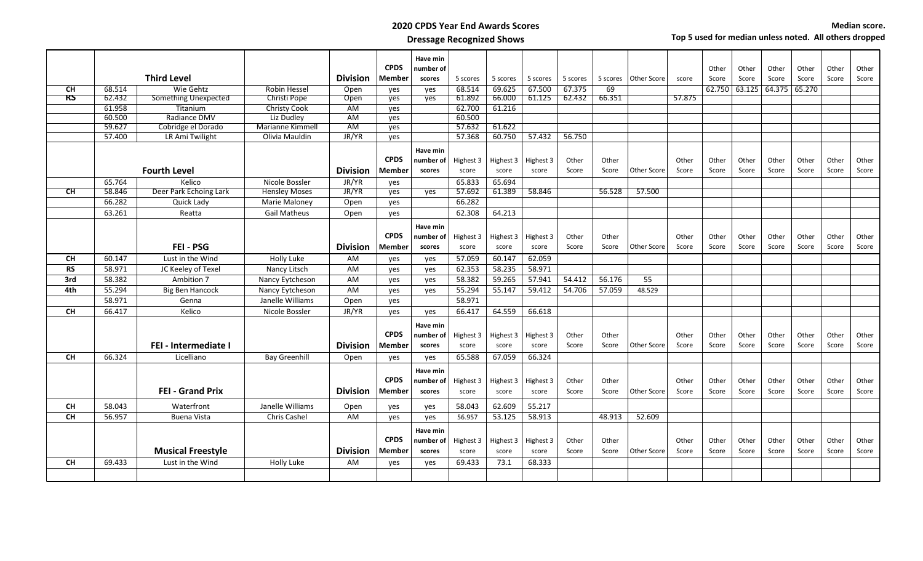## **2020 CPDS Year End Awards Scores Dressage Recognized Shows**

**Top 5 used for median unless noted. All others dropped**

|           |                  |                             |                                       |                 |               | Have min            |                    |                    |                    |                |                |                    |                |                |                |                |                |                |                |
|-----------|------------------|-----------------------------|---------------------------------------|-----------------|---------------|---------------------|--------------------|--------------------|--------------------|----------------|----------------|--------------------|----------------|----------------|----------------|----------------|----------------|----------------|----------------|
|           |                  |                             |                                       |                 | <b>CPDS</b>   | number of           |                    |                    |                    |                |                |                    |                | Other          | Other          | Other          | Other          | Other          | Other          |
|           |                  | <b>Third Level</b>          |                                       | <b>Division</b> | Member        | scores              | 5 scores           | 5 scores           | 5 scores           | 5 scores       | 5 scores       | <b>Other Score</b> | score          | Score          | Score          | Score          | Score          | Score          | Score          |
| <b>CH</b> | 68.514           | Wie Gehtz                   | <b>Robin Hessel</b>                   | Open            | yes           | yes                 | 68.514             | 69.625             | 67.500             | 67.375         | 69             |                    |                | 62.750         | 63.125         | 64.375         | 65.270         |                |                |
| <b>RS</b> | 62.432           | <b>Something Unexpected</b> | Christi Pope                          | Open            | yes           | yes                 | 61.892             | 66.000             | 61.125             | 62.432         | 66.351         |                    | 57.875         |                |                |                |                |                |                |
|           | 61.958<br>60.500 | Titanium<br>Radiance DMV    | <b>Christy Cook</b>                   | AM<br>AM        | yes           |                     | 62.700<br>60.500   | 61.216             |                    |                |                |                    |                |                |                |                |                |                |                |
|           | 59.627           | Cobridge el Dorado          | Liz Dudley<br><b>Marianne Kimmell</b> | AM              | ves           |                     | 57.632             | 61.622             |                    |                |                |                    |                |                |                |                |                |                |                |
|           | 57.400           | LR Ami Twilight             | Olivia Mauldin                        | JR/YR           | yes<br>yes    |                     | 57.368             | 60.750             | 57.432             | 56.750         |                |                    |                |                |                |                |                |                |                |
|           |                  |                             |                                       |                 |               |                     |                    |                    |                    |                |                |                    |                |                |                |                |                |                |                |
|           |                  |                             |                                       |                 |               | Have min            |                    |                    |                    |                |                |                    |                |                |                |                |                |                |                |
|           |                  |                             |                                       |                 | <b>CPDS</b>   | number of           | Highest 3          | Highest 3          | Highest 3          | Other          | Other          |                    | Other          | Other          | Other          | Other          | Other          | Other          | Other          |
|           |                  | <b>Fourth Level</b>         |                                       | <b>Division</b> | <b>Member</b> | scores              | score              | score              | score              | Score          | Score          | <b>Other Score</b> | Score          | Score          | Score          | Score          | Score          | Score          | Score          |
|           | 65.764           | Kelico                      | Nicole Bossler                        | JR/YR           | ves           |                     | 65.833             | 65.694             |                    |                |                |                    |                |                |                |                |                |                |                |
| <b>CH</b> | 58.846           | Deer Park Echoing Lark      | <b>Hensley Moses</b>                  | JR/YR           | yes           | yes                 | 57.692             | 61.389             | 58.846             |                | 56.528         | 57.500             |                |                |                |                |                |                |                |
|           | 66.282           | Quick Lady                  | Marie Maloney                         | Open            | ves           |                     | 66.282             |                    |                    |                |                |                    |                |                |                |                |                |                |                |
|           | 63.261           | Reatta                      | <b>Gail Matheus</b>                   | Open            | yes           |                     | 62.308             | 64.213             |                    |                |                |                    |                |                |                |                |                |                |                |
|           |                  |                             |                                       |                 |               | Have min            |                    |                    |                    |                |                |                    |                |                |                |                |                |                |                |
|           |                  |                             |                                       |                 | <b>CPDS</b>   | number of           | Highest 3          | Highest 3          | Highest 3          | Other          | Other          |                    | Other          | Other          | Other          | Other          | Other          | Other          | Other          |
|           |                  | FEI - PSG                   |                                       | <b>Division</b> | Member        | scores              | score              | score              | score              | Score          | Score          | Other Score        | Score          | Score          | Score          | Score          | Score          | Score          | Score          |
| <b>CH</b> | 60.147           | Lust in the Wind            | Holly Luke                            | AM              | ves           | yes                 | 57.059             | 60.147             | 62.059             |                |                |                    |                |                |                |                |                |                |                |
| <b>RS</b> | 58.971           | JC Keeley of Texel          | Nancy Litsch                          | AM              | yes           | yes                 | 62.353             | 58.235             | 58.971             |                |                |                    |                |                |                |                |                |                |                |
| 3rd       | 58.382           | Ambition 7                  | Nancy Eytcheson                       | AM              | yes           | yes                 | 58.382             | 59.265             | 57.941             | 54.412         | 56.176         | 55                 |                |                |                |                |                |                |                |
| 4th       | 55.294           | <b>Big Ben Hancock</b>      | Nancy Eytcheson                       | AM              | yes           | yes                 | 55.294             | 55.147             | 59.412             | 54.706         | 57.059         | 48.529             |                |                |                |                |                |                |                |
|           | 58.971           | Genna                       | Janelle Williams                      | Open            | yes           |                     | 58.971             |                    |                    |                |                |                    |                |                |                |                |                |                |                |
| <b>CH</b> | 66.417           | Kelico                      | Nicole Bossler                        | JR/YR           | ves           | yes                 | 66.417             | 64.559             | 66.618             |                |                |                    |                |                |                |                |                |                |                |
|           |                  |                             |                                       |                 |               | Have min            |                    |                    |                    |                |                |                    |                |                |                |                |                |                |                |
|           |                  |                             |                                       |                 | <b>CPDS</b>   | number of           | Highest 3          | Highest 3          | Highest 3          | Other          | Other          |                    | Other          | Other          | Other          | Other          | Other          | Other          | Other          |
|           |                  | FEI - Intermediate I        |                                       | <b>Division</b> | Member        | scores              | score              | score              | score              | Score          | Score          | Other Score        | Score          | Score          | Score          | Score          | Score          | Score          | Score          |
| <b>CH</b> | 66.324           | Licelliano                  |                                       |                 |               |                     | 65.588             | 67.059             | 66.324             |                |                |                    |                |                |                |                |                |                |                |
|           |                  |                             | <b>Bay Greenhill</b>                  | Open            | yes           | yes                 |                    |                    |                    |                |                |                    |                |                |                |                |                |                |                |
|           |                  |                             |                                       |                 |               | Have min            |                    |                    |                    |                |                |                    |                |                |                |                |                |                |                |
|           |                  |                             |                                       |                 | <b>CPDS</b>   | number of           | Highest 3          | Highest 3          | Highest 3          | Other          | Other          |                    | Other          | Other          | Other          | Other          | Other          | Other          | Other          |
|           |                  | <b>FEI - Grand Prix</b>     |                                       | <b>Division</b> | Member        | scores              | score              | score              | score              | Score          | Score          | <b>Other Score</b> | Score          | Score          | Score          | Score          | Score          | Score          | Score          |
| <b>CH</b> | 58.043           | Waterfront                  | Janelle Williams                      | Open            | yes           | yes                 | 58.043             | 62.609             | 55.217             |                |                |                    |                |                |                |                |                |                |                |
| <b>CH</b> | 56.957           | <b>Buena Vista</b>          | <b>Chris Cashel</b>                   | AM              | ves           | yes                 | 56.957             | 53.125             | 58.913             |                | 48.913         | 52.609             |                |                |                |                |                |                |                |
|           |                  |                             |                                       |                 |               |                     |                    |                    |                    |                |                |                    |                |                |                |                |                |                |                |
|           |                  |                             |                                       |                 | <b>CPDS</b>   | Have min            |                    |                    |                    |                |                |                    |                |                |                |                |                |                |                |
|           |                  | <b>Musical Freestyle</b>    |                                       | <b>Division</b> | <b>Member</b> | number of<br>scores | Highest 3<br>score | Highest 3<br>score | Highest 3<br>score | Other<br>Score | Other<br>Score | <b>Other Score</b> | Other<br>Score | Other<br>Score | Other<br>Score | Other<br>Score | Other<br>Score | Other<br>Score | Other<br>Score |
|           |                  |                             |                                       |                 |               |                     |                    |                    |                    |                |                |                    |                |                |                |                |                |                |                |
| <b>CH</b> | 69.433           | Lust in the Wind            | Holly Luke                            | AM              | yes           | yes                 | 69.433             | 73.1               | 68.333             |                |                |                    |                |                |                |                |                |                |                |
|           |                  |                             |                                       |                 |               |                     |                    |                    |                    |                |                |                    |                |                |                |                |                |                |                |